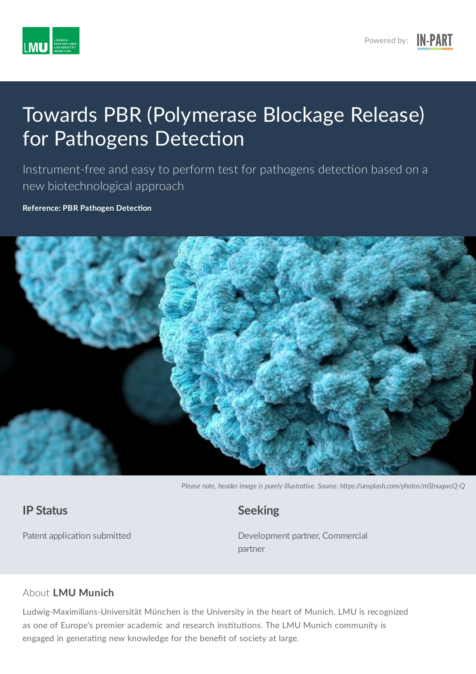

# Towards PBR (Polymerase Blockage Release) for Pathogens Detection

Instrument-free and easy to perform test for pathogens detection based on a new biotechnological approach

**Reference: PBR Pathogen Detection** 



Please note, header image is purely illustrative. Source: https://unsplash.com/photos/mSfnuqwcQ-Q

#### **IP Status**

Patent application submitted

**Seeking**

Development partner, Commercial partner

#### About **LMU Munich**

Ludwig-Maximilians-Universität München is the University in the heart of Munich. LMU is recognized as one of Europe's premier academic and research institutions. The LMU Munich community is engaged in generating new knowledge for the benefit of society at large.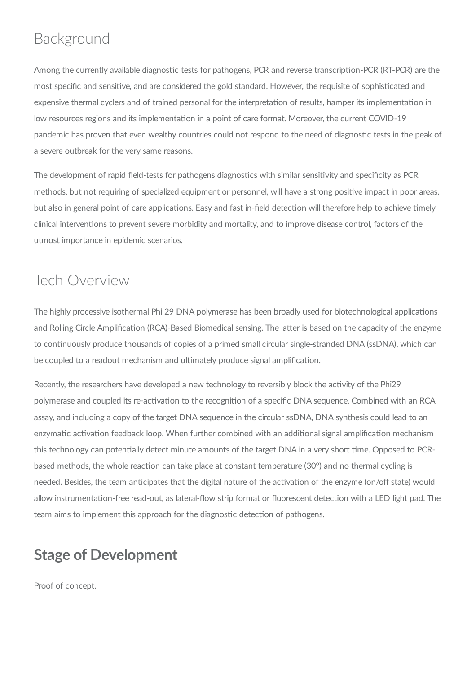#### Background

Among the currently available diagnostic tests for pathogens, PCR and reverse transcription-PCR (RT-PCR) are the most specific and sensitive, and are considered the gold standard. However, the requisite of sophisticated and expensive thermal cyclers and of trained personal for the interpretation of results, hamper its implementation in low resources regions and its implementation in a point of care format. Moreover, the current COVID-19 pandemic has proven that even wealthy countries could not respond to the need of diagnostic tests in the peak of a severe outbreak for the very same reasons.

The development of rapid field-tests for pathogens diagnostics with similar sensitivity and specificity as PCR methods, but not requiring of specialized equipment or personnel, will have a strong positive impact in poor areas, but also in general point of care applications. Easy and fast in-field detection will therefore help to achieve timely clinical interventions to prevent severe morbidity and mortality, and to improve disease control, factors of the utmost importance in epidemic scenarios.

## Tech Overview

The highly processive isothermal Phi 29 DNA polymerase has been broadly used for biotechnological applications and Rolling Circle Amplification (RCA)-Based Biomedical sensing. The latter is based on the capacity of the enzyme to continuously produce thousands of copies of a primed small circular single-stranded DNA (ssDNA), which can be coupled to a readout mechanism and ultimately produce signal amplification.

Recently, the researchers have developed a new technology to reversibly block the activity of the Phi29 polymerase and coupled its re-activation to the recognition of a specific DNA sequence. Combined with an RCA assay, and including a copy of the target DNA sequence in the circular ssDNA, DNA synthesis could lead to an enzymatic activation feedback loop. When further combined with an additional signal amplification mechanism this technology can potentially detect minute amounts of the target DNA in a very short time. Opposed to PCRbased methods, the whole reaction can take place at constant temperature (30°) and no thermal cycling is needed. Besides, the team anticipates that the digital nature of the activation of the enzyme (on/off state) would allow instrumentation-free read-out, as lateral-flow strip format or fluorescent detection with a LED light pad. The team aims to implement this approach for the diagnostic detection of pathogens.

### **Stage of Development**

Proof of concept.